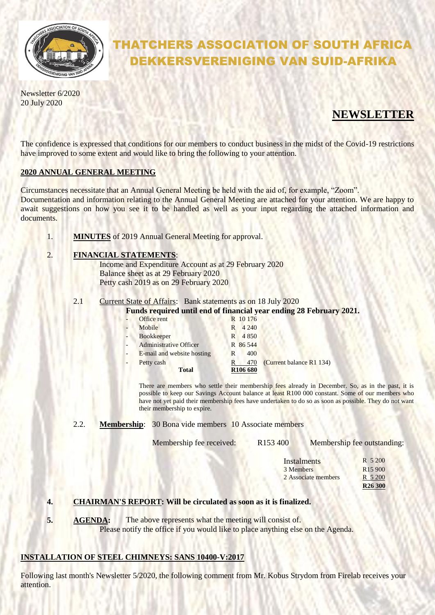

# THATCHERS ASSOCIATION OF SOUTH AFRICA DEKKERSVERENIGING VAN SUID-AFRIKA

Newsletter 6/2020 20 July 2020

# **NEWSLETTER**

The confidence is expressed that conditions for our members to conduct business in the midst of the Covid-19 restrictions have improved to some extent and would like to bring the following to your attention.

#### **2020 ANNUAL GENERAL MEETING**

Circumstances necessitate that an Annual General Meeting be held with the aid of, for example, "Zoom". Documentation and information relating to the Annual General Meeting are attached for your attention. We are happy to await suggestions on how you see it to be handled as well as your input regarding the attached information and documents.

1. **MINUTES** of 2019 Annual General Meeting for approval.

#### 2. **FINANCIAL STATEMENTS**:

Income and Expenditure Account as at 29 February 2020 Balance sheet as at 29 February 2020 Petty cash 2019 as on 29 February 2020

2.1 Current State of Affairs: Bank statements as on 18 July 2020

**Funds required until end of financial year ending 28 February 2021.**

| <b>Total</b>                  | R <sub>106</sub> 680 |                          |
|-------------------------------|----------------------|--------------------------|
| Petty cash                    | R<br>470             | (Current balance R1 134) |
| E-mail and website hosting    | 400<br>R             |                          |
| <b>Administrative Officer</b> | R 86 544             |                          |
| <b>Bookkeeper</b>             | 4 8 5 0<br>R.        |                          |
| Mobile                        | 4 2 4 0<br>R         |                          |
| Office rent                   | R 10 176             |                          |

There are members who settle their membership fees already in December. So, as in the past, it is possible to keep our Savings Account balance at least R100 000 constant. Some of our members who have not yet paid their membership fees have undertaken to do so as soon as possible. They do not want their membership to expire.

2.2. **Membership**: 30 Bona vide members 10 Associate members

| Membership fee received: | R <sub>153</sub> 400 | Membership fee outstanding: |
|--------------------------|----------------------|-----------------------------|
|--------------------------|----------------------|-----------------------------|

| Instalments         | R 5 200             |
|---------------------|---------------------|
| 3 Members           | R <sub>15</sub> 900 |
| 2 Associate members | R 5 200             |
|                     | R <sub>26</sub> 300 |

#### **4. CHAIRMAN'S REPORT: Will be circulated as soon as it is finalized.**

**5. AGENDA:** The above represents what the meeting will consist of. Please notify the office if you would like to place anything else on the Agenda.

#### **INSTALLATION OF STEEL CHIMNEYS: SANS 10400-V:2017**

Following last month's Newsletter 5/2020, the following comment from Mr. Kobus Strydom from Firelab receives your attention.